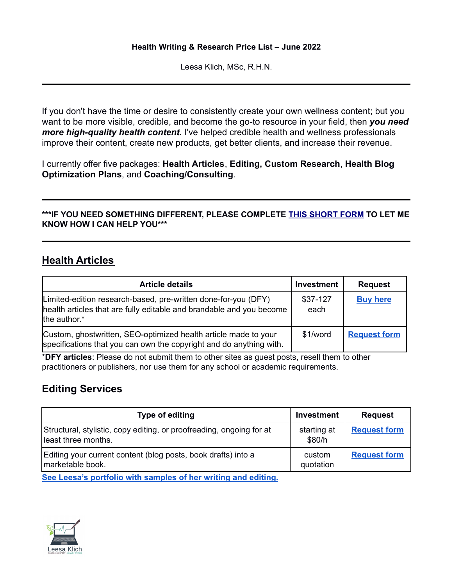#### **Health Writing & Research Price List – June 2022**

Leesa Klich, MSc, R.H.N.

If you don't have the time or desire to consistently create your own wellness content; but you want to be more visible, credible, and become the go-to resource in your field, then *you need more high-quality health content.* I've helped credible health and wellness professionals improve their content, create new products, get better clients, and increase their revenue.

I currently offer five packages: **Health Articles**, **Editing, Custom Research**, **Health Blog Optimization Plans**, and **Coaching/Consulting**.

### **\*\*\*IF YOU NEED SOMETHING DIFFERENT, PLEASE COMPLETE THIS [SHORT](https://goo.gl/forms/00CWb6mg2ouzZL8T2) FORM TO LET ME KNOW HOW I CAN HELP YOU\*\*\***

### **Health Articles**

| <b>Article details</b>                                                                                                                                 | Investment       | <b>Request</b>      |
|--------------------------------------------------------------------------------------------------------------------------------------------------------|------------------|---------------------|
| Limited-edition research-based, pre-written done-for-you (DFY)<br>health articles that are fully editable and brandable and you become<br>the author.* | \$37-127<br>each | <b>Buy here</b>     |
| Custom, ghostwritten, SEO-optimized health article made to your<br>specifications that you can own the copyright and do anything with.                 | \$1/word         | <b>Request form</b> |

\***DFY articles**: Please do not submit them to other sites as guest posts, resell them to other practitioners or publishers, nor use them for any school or academic requirements.

## **Editing Services**

| Type of editing                                                                             | <b>Investment</b>     | <b>Request</b>      |
|---------------------------------------------------------------------------------------------|-----------------------|---------------------|
| Structural, stylistic, copy editing, or proofreading, ongoing for at<br>least three months. | starting at<br>\$80/h | <b>Request form</b> |
| Editing your current content (blog posts, book drafts) into a<br>marketable book.           | custom<br>quotation   | <b>Request form</b> |

**See Leesa's [portfolio](https://leesaklich.com/health-writing-portfolio/) with samples of her writing and editing.**